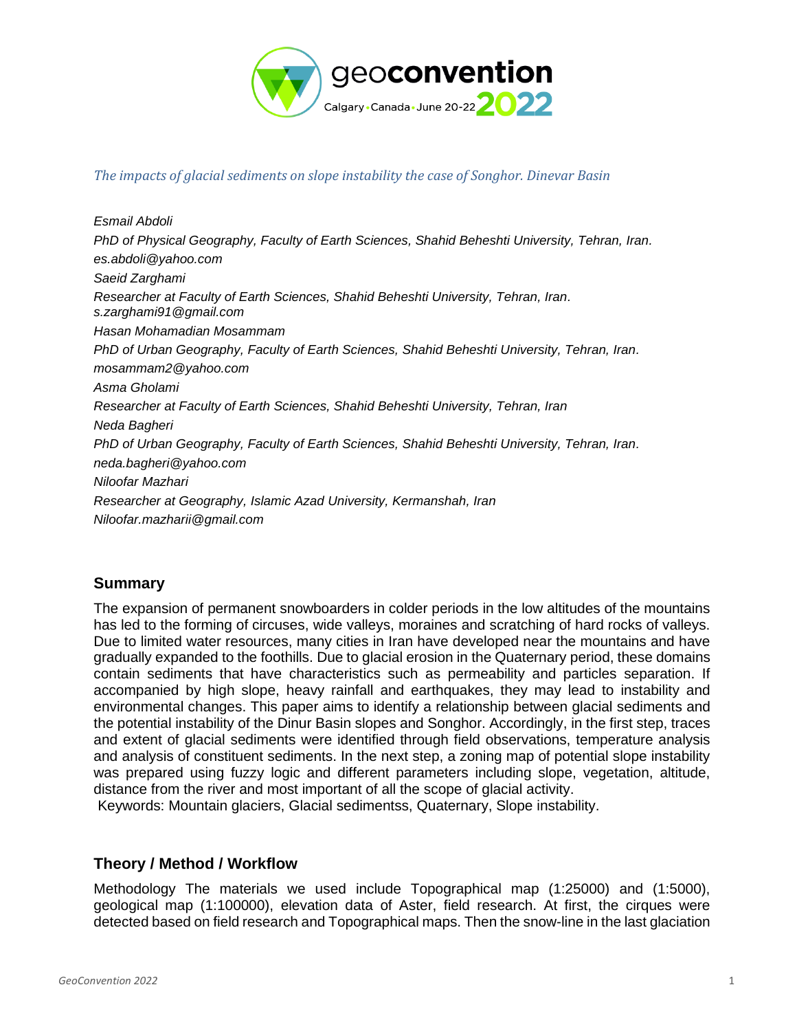

### *The impacts of glacial sediments on slope instability the case of Songhor. Dinevar Basin*

*Esmail Abdoli PhD of Physical Geography, Faculty of Earth Sciences, Shahid Beheshti University, Tehran, Iran. [es.abdoli@yahoo.com](mailto:es.abdoli@yahoo.com) Saeid Zarghami Researcher at Faculty of Earth Sciences, Shahid Beheshti University, Tehran, Iran. [s.zarghami91@gmail.com](mailto:s.zarghami91@gmail.com) Hasan Mohamadian Mosammam PhD of Urban Geography, Faculty of Earth Sciences, Shahid Beheshti University, Tehran, Iran. mosammam2@yahoo.com Asma Gholami Researcher at Faculty of Earth Sciences, Shahid Beheshti University, Tehran, Iran Neda Bagheri PhD of Urban Geography, Faculty of Earth Sciences, Shahid Beheshti University, Tehran, Iran. neda.bagheri@yahoo.com Niloofar Mazhari Researcher at Geography, Islamic Azad University, Kermanshah, Iran Niloofar.mazharii@gmail.com*

## **Summary**

The expansion of permanent snowboarders in colder periods in the low altitudes of the mountains has led to the forming of circuses, wide valleys, moraines and scratching of hard rocks of valleys. Due to limited water resources, many cities in Iran have developed near the mountains and have gradually expanded to the foothills. Due to glacial erosion in the Quaternary period, these domains contain sediments that have characteristics such as permeability and particles separation. If accompanied by high slope, heavy rainfall and earthquakes, they may lead to instability and environmental changes. This paper aims to identify a relationship between glacial sediments and the potential instability of the Dinur Basin slopes and Songhor. Accordingly, in the first step, traces and extent of glacial sediments were identified through field observations, temperature analysis and analysis of constituent sediments. In the next step, a zoning map of potential slope instability was prepared using fuzzy logic and different parameters including slope, vegetation, altitude, distance from the river and most important of all the scope of glacial activity.

Keywords: Mountain glaciers, Glacial sedimentss, Quaternary, Slope instability.

# **Theory / Method / Workflow**

Methodology The materials we used include Topographical map (1:25000) and (1:5000), geological map (1:100000), elevation data of Aster, field research. At first, the cirques were detected based on field research and Topographical maps. Then the snow-line in the last glaciation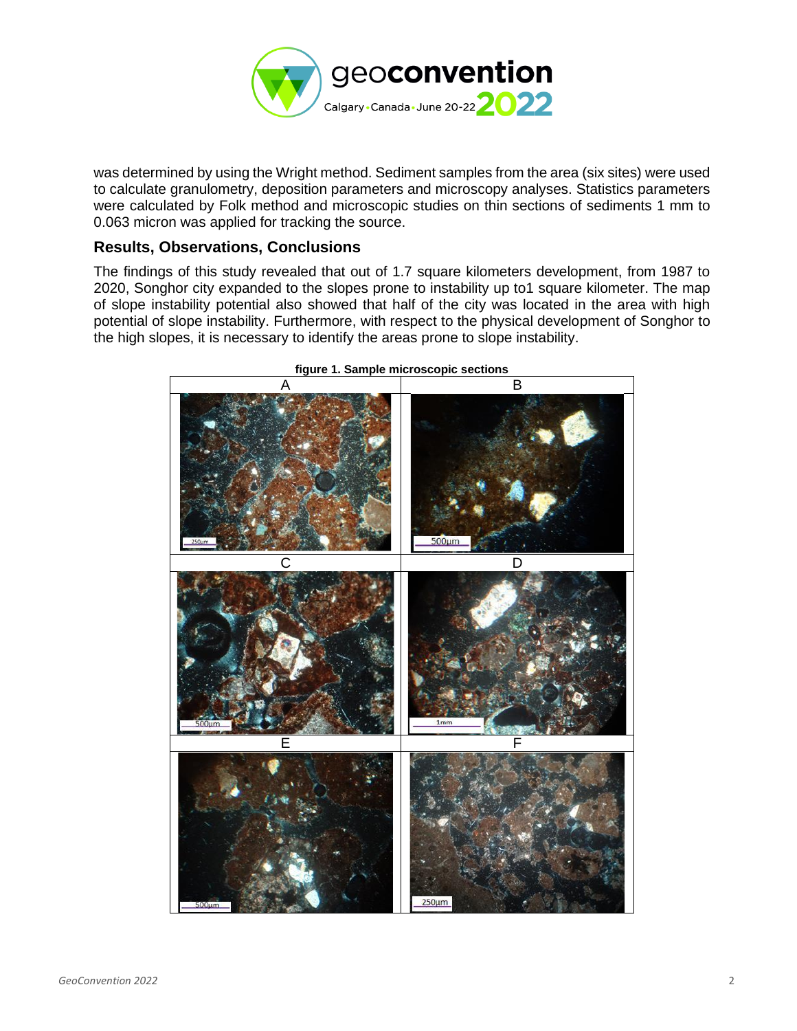

was determined by using the Wright method. Sediment samples from the area (six sites) were used to calculate granulometry, deposition parameters and microscopy analyses. Statistics parameters were calculated by Folk method and microscopic studies on thin sections of sediments 1 mm to 0.063 micron was applied for tracking the source.

## **Results, Observations, Conclusions**

The findings of this study revealed that out of 1.7 square kilometers development, from 1987 to 2020, Songhor city expanded to the slopes prone to instability up to1 square kilometer. The map of slope instability potential also showed that half of the city was located in the area with high potential of slope instability. Furthermore, with respect to the physical development of Songhor to the high slopes, it is necessary to identify the areas prone to slope instability.